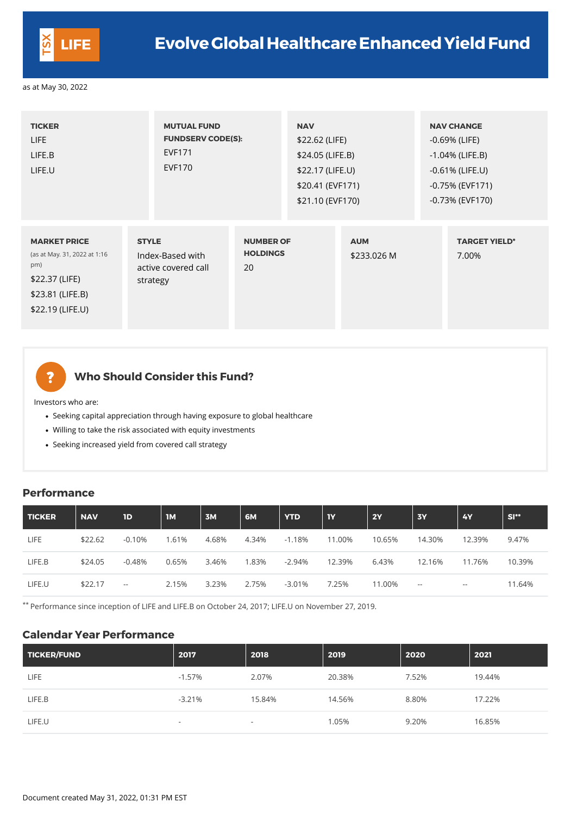| <b>TICKER</b><br>LIFE<br>LIFE.B<br>LIFE.U                                                                            | <b>MUTUAL FUND</b><br><b>FUNDSERV CODE(S):</b><br><b>EVF171</b><br><b>EVF170</b> |                                           | <b>NAV</b><br>\$22.62 (LIFE)<br>\$24.05 (LIFE.B)<br>\$22.17 (LIFE.U)<br>\$20.41 (EVF171)<br>\$21.10 (EVF170) |                           | <b>NAV CHANGE</b><br>$-0.69%$ (LIFE)<br>$-1.04\%$ (LIFE.B)<br>$-0.61\%$ (LIFE.U)<br>$-0.75\%$ (EVF171)<br>$-0.73\%$ (EVF170) |
|----------------------------------------------------------------------------------------------------------------------|----------------------------------------------------------------------------------|-------------------------------------------|--------------------------------------------------------------------------------------------------------------|---------------------------|------------------------------------------------------------------------------------------------------------------------------|
| <b>MARKET PRICE</b><br>(as at May. 31, 2022 at 1:16<br>pm)<br>\$22.37 (LIFE)<br>\$23.81 (LIFE.B)<br>\$22.19 (LIFE.U) | <b>STYLE</b><br>Index-Based with<br>active covered call<br>strategy              | <b>NUMBER OF</b><br><b>HOLDINGS</b><br>20 |                                                                                                              | <b>AUM</b><br>\$233.026 M | <b>TARGET YIELD*</b><br>7.00%                                                                                                |

?

## **Who Should Consider this Fund?**

Investors who are:

- Seeking capital appreciation through having exposure to global healthcare
- Willing to take the risk associated with equity investments
- Seeking increased yield from covered call strategy

#### **Performance**

| TICKER | <b>NAV</b> | 1D       | $\mathsf{IM}$ | 3M    | <b>6M</b> | <b>YTD</b> | 1Y     | <b>2Y</b> | <b>3Y</b> | <b>4Y</b> | $SI**$ |
|--------|------------|----------|---------------|-------|-----------|------------|--------|-----------|-----------|-----------|--------|
| LIFE   | \$22.62    | $-0.10%$ | .61%          | 4.68% | 4.34%     | $-1.18%$   | 11.00% | 10.65%    | 14.30%    | 12.39%    | 9.47%  |
| LIFE.B | \$24.05    | $-0.48%$ | 0.65%         | 3.46% | .83%      | $-2.94\%$  | 12.39% | 6.43%     | 12.16%    | 11.76%    | 10.39% |

\*\* Performance since inception of LIFE and LIFE.B on October 24, 2017; LIFE.U on November 27, 2019.

#### **Calendar Year Performance**

| TICKER/FUND | 2017                     | 2018                     | 2019   | 2020  | 2021   |
|-------------|--------------------------|--------------------------|--------|-------|--------|
| <b>LIFE</b> | $-1.57\%$                | 2.07%                    | 20.38% | 7.52% | 19.44% |
| LIFE.B      | $-3.21%$                 | 15.84%                   | 14.56% | 8.80% | 17.22% |
| LIFE.U      | $\overline{\phantom{0}}$ | $\overline{\phantom{a}}$ | 1.05%  | 9.20% | 16.85% |

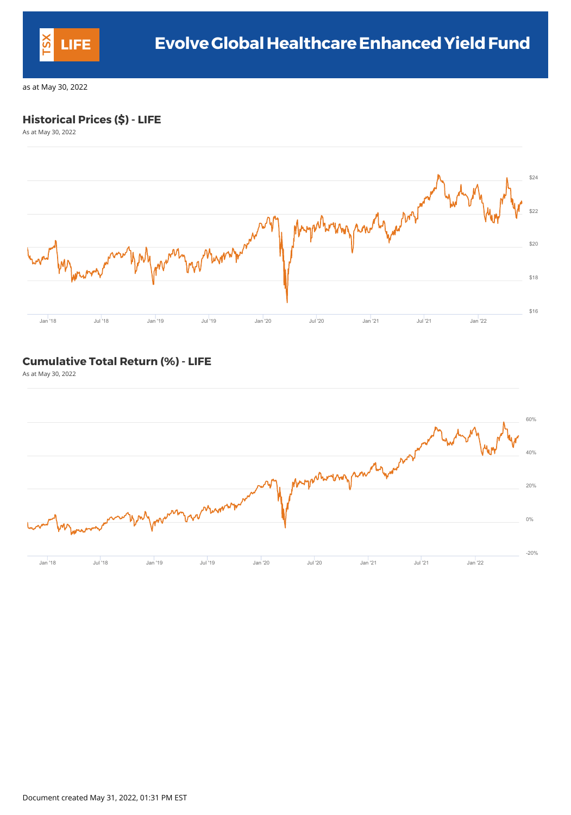

### **Historical Prices (\$) - LIFE**

As at May 30, 2022



### **Cumulative Total Return (%) - LIFE**

As at May 30, 2022



Document created May 31, 2022, 01:31 PM EST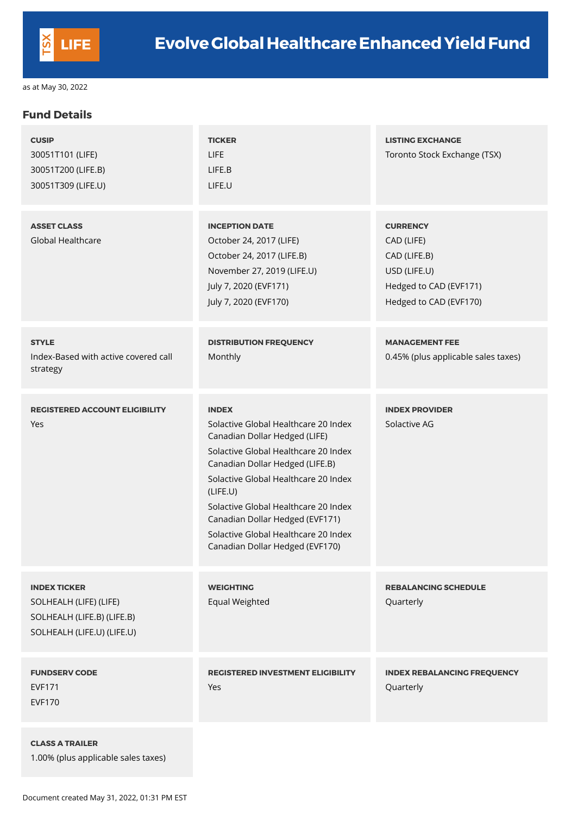

#### **Fund Details**

| <b>CUSIP</b><br>30051T101 (LIFE)<br>30051T200 (LIFE.B)<br>30051T309 (LIFE.U) | <b>TICKER</b><br>LIFE<br>LIFE.B<br>LIFE.U                                                                                                                                                                                                                                                                                                                                  | <b>LISTING EXCHANGE</b><br>Toronto Stock Exchange (TSX)                                                           |
|------------------------------------------------------------------------------|----------------------------------------------------------------------------------------------------------------------------------------------------------------------------------------------------------------------------------------------------------------------------------------------------------------------------------------------------------------------------|-------------------------------------------------------------------------------------------------------------------|
| <b>ASSET CLASS</b><br><b>Global Healthcare</b>                               | <b>INCEPTION DATE</b><br>October 24, 2017 (LIFE)<br>October 24, 2017 (LIFE.B)<br>November 27, 2019 (LIFE.U)<br>July 7, 2020 (EVF171)<br>July 7, 2020 (EVF170)                                                                                                                                                                                                              | <b>CURRENCY</b><br>CAD (LIFE)<br>CAD (LIFE.B)<br>USD (LIFE.U)<br>Hedged to CAD (EVF171)<br>Hedged to CAD (EVF170) |
| <b>STYLE</b><br>Index-Based with active covered call<br>strategy             | <b>DISTRIBUTION FREQUENCY</b><br>Monthly                                                                                                                                                                                                                                                                                                                                   | <b>MANAGEMENT FEE</b><br>0.45% (plus applicable sales taxes)                                                      |
| <b>REGISTERED ACCOUNT ELIGIBILITY</b><br>Yes                                 | <b>INDEX</b><br>Solactive Global Healthcare 20 Index<br>Canadian Dollar Hedged (LIFE)<br>Solactive Global Healthcare 20 Index<br>Canadian Dollar Hedged (LIFE.B)<br>Solactive Global Healthcare 20 Index<br>(LIEE.U)<br>Solactive Global Healthcare 20 Index<br>Canadian Dollar Hedged (EVF171)<br>Solactive Global Healthcare 20 Index<br>Canadian Dollar Hedged (EVF170) | <b>INDEX PROVIDER</b><br>Solactive AG                                                                             |

| <b>INDEX TICKER</b><br>SOLHEALH (LIFE) (LIFE)<br>SOLHEALH (LIFE.B) (LIFE.B)<br>SOLHEALH (LIFE.U) (LIFE.U) | <b>WEIGHTING</b><br><b>Equal Weighted</b>       | <b>REBALANCING SCHEDULE</b><br>Quarterly        |
|-----------------------------------------------------------------------------------------------------------|-------------------------------------------------|-------------------------------------------------|
| <b>FUNDSERV CODE</b><br><b>EVF171</b><br><b>EVF170</b>                                                    | <b>REGISTERED INVESTMENT ELIGIBILITY</b><br>Yes | <b>INDEX REBALANCING FREQUENCY</b><br>Quarterly |
| <b>CLASS A TRAILER</b><br>1.00% (plus applicable sales taxes)                                             |                                                 |                                                 |

Document created May 31, 2022, 01:31 PM EST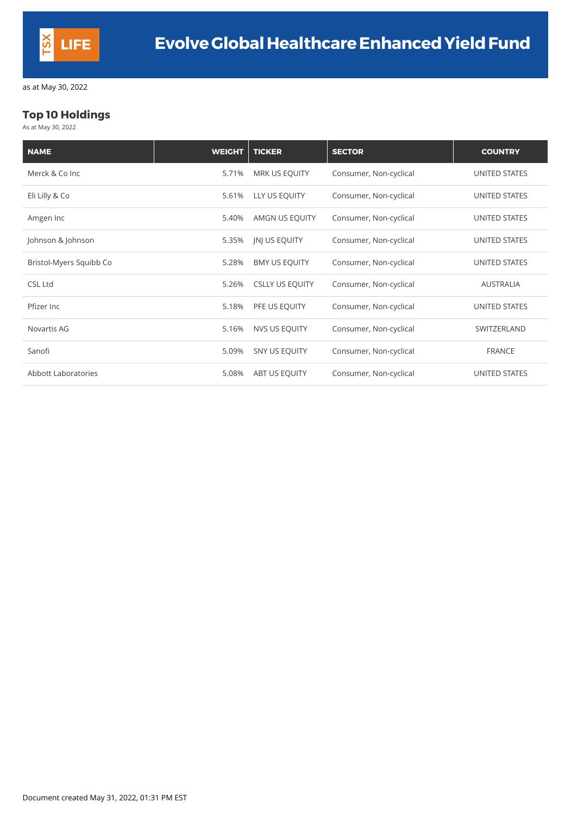

#### **Top 10 Holdings**

As at May 30, 2022

| <b>NAME</b>                | <b>WEIGHT</b> | <b>TICKER</b>          | <b>SECTOR</b>          | <b>COUNTRY</b>       |
|----------------------------|---------------|------------------------|------------------------|----------------------|
| Merck & Co Inc             | 5.71%         | <b>MRK US EQUITY</b>   | Consumer, Non-cyclical | <b>UNITED STATES</b> |
| Eli Lilly & Co             | 5.61%         | LLY US EQUITY          | Consumer, Non-cyclical | UNITED STATES        |
| Amgen Inc                  | 5.40%         | AMGN US EQUITY         | Consumer, Non-cyclical | <b>UNITED STATES</b> |
| Johnson & Johnson          | 5.35%         | <b>JNJ US EQUITY</b>   | Consumer, Non-cyclical | <b>UNITED STATES</b> |
| Bristol-Myers Squibb Co    | 5.28%         | <b>BMY US EQUITY</b>   | Consumer, Non-cyclical | UNITED STATES        |
| <b>CSL Ltd</b>             | 5.26%         | <b>CSLLY US EQUITY</b> | Consumer, Non-cyclical | <b>AUSTRALIA</b>     |
| Pfizer Inc                 | 5.18%         | PFE US EQUITY          | Consumer, Non-cyclical | <b>UNITED STATES</b> |
| Novartis AG                | 5.16%         | <b>NVS US EQUITY</b>   | Consumer, Non-cyclical | SWITZERLAND          |
| Sanofi                     | 5.09%         | SNY US EQUITY          | Consumer, Non-cyclical | <b>FRANCE</b>        |
| <b>Abbott Laboratories</b> | 5.08%         | ABT US EQUITY          | Consumer, Non-cyclical | <b>UNITED STATES</b> |

Document created May 31, 2022, 01:31 PM EST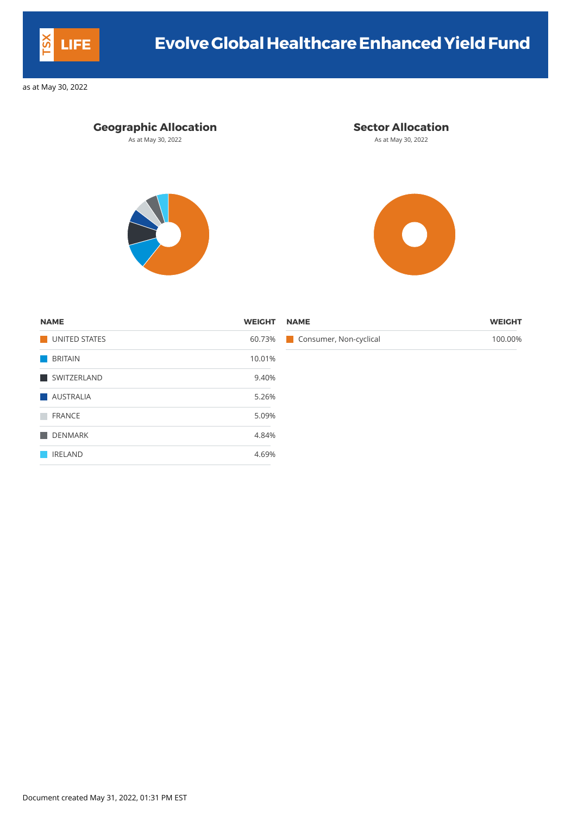| <b>NAME</b>   | <b>WEIGHT</b> | <b>NAME</b>                   | <b>WEIGHT</b> |
|---------------|---------------|-------------------------------|---------------|
| UNITED STATES |               | 60.73% Consumer, Non-cyclical | 100.00%       |
| BRITAIN       | 10.01%        |                               |               |
| SWITZERLAND   | 9.40%         |                               |               |
|               |               |                               |               |

| <b>NAME</b>          | <b>WEIGHT</b> |
|----------------------|---------------|
| <b>UNITED STATES</b> | 60.73%        |
| <b>BRITAIN</b>       | 10.01%        |
| SWITZERLAND          | 9.40%         |
| <b>AUSTRALIA</b>     | 5.26%         |
| <b>FRANCE</b>        | 5.09%         |
| <b>DENMARK</b>       | 4.84%         |
| <b>IRELAND</b>       | 4.69%         |

Document created May 31, 2022, 01:31 PM EST



# **LIFE Evolve GlobalHealthcareEnhancedYield Fund**

as at May 30, 2022

#### **Geographic Allocation Sector Allocation**

As at May 30, 2022 **As at May 30, 2022** As at May 30, 2022